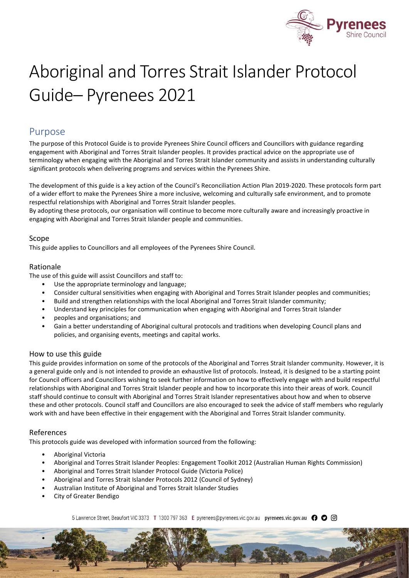

### Purpose

The purpose of this Protocol Guide is to provide Pyrenees Shire Council officers and Councillors with guidance regarding engagement with Aboriginal and Torres Strait Islander peoples. It provides practical advice on the appropriate use of terminology when engaging with the Aboriginal and Torres Strait Islander community and assists in understanding culturally significant protocols when delivering programs and services within the Pyrenees Shire.

The development of this guide is a key action of the Council's Reconciliation Action Plan 2019-2020. These protocols form part of a wider effort to make the Pyrenees Shire a more inclusive, welcoming and culturally safe environment, and to promote respectful relationships with Aboriginal and Torres Strait Islander peoples.

By adopting these protocols, our organisation will continue to become more culturally aware and increasingly proactive in engaging with Aboriginal and Torres Strait Islander people and communities.

#### Scope

This guide applies to Councillors and all employees of the Pyrenees Shire Council.

#### Rationale

The use of this guide will assist Councillors and staff to:

- Use the appropriate terminology and language;
- Consider cultural sensitivities when engaging with Aboriginal and Torres Strait Islander peoples and communities;
- Build and strengthen relationships with the local Aboriginal and Torres Strait Islander community;
- Understand key principles for communication when engaging with Aboriginal and Torres Strait Islander
- peoples and organisations; and
- Gain a better understanding of Aboriginal cultural protocols and traditions when developing Council plans and policies, and organising events, meetings and capital works.

#### How to use this guide

This guide provides information on some of the protocols of the Aboriginal and Torres Strait Islander community. However, it is a general guide only and is not intended to provide an exhaustive list of protocols. Instead, it is designed to be a starting point for Council officers and Councillors wishing to seek further information on how to effectively engage with and build respectful relationships with Aboriginal and Torres Strait Islander people and how to incorporate this into their areas of work. Council staff should continue to consult with Aboriginal and Torres Strait Islander representatives about how and when to observe these and other protocols. Council staff and Councillors are also encouraged to seek the advice of staff members who regularly work with and have been effective in their engagement with the Aboriginal and Torres Strait Islander community.

#### References

•

This protocols guide was developed with information sourced from the following:

- Aboriginal Victoria
- Aboriginal and Torres Strait Islander Peoples: Engagement Toolkit 2012 (Australian Human Rights Commission)
- Aboriginal and Torres Strait Islander Protocol Guide (Victoria Police)
- Aboriginal and Torres Strait Islander Protocols 2012 (Council of Sydney)
- Australian Institute of Aboriginal and Torres Strait Islander Studies
- City of Greater Bendigo

5 Lawrence Street, Beaufort VIC 3373 T 1300 797 363 E pyrenees@pyrenees.vic.gov.au pyrenees.vic.gov.au n 3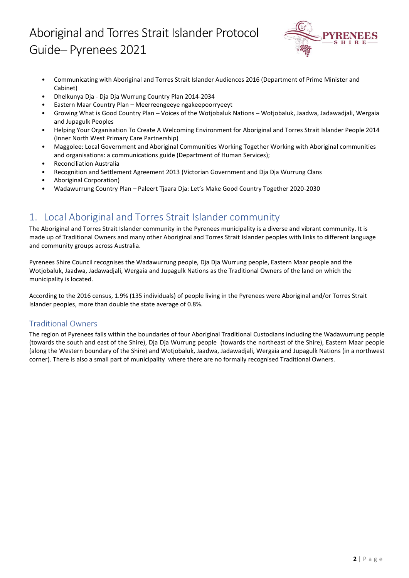

- Communicating with Aboriginal and Torres Strait Islander Audiences 2016 (Department of Prime Minister and Cabinet)
- Dhelkunya Dja Dja Dja Wurrung Country Plan 2014-2034
- Eastern Maar Country Plan Meerreengeeye ngakeepoorryeeyt
- Growing What is Good Country Plan Voices of the Wotjobaluk Nations Wotjobaluk, Jaadwa, Jadawadjali, Wergaia and Jupagulk Peoples
- Helping Your Organisation To Create A Welcoming Environment for Aboriginal and Torres Strait Islander People 2014 (Inner North West Primary Care Partnership)
- Maggolee: Local Government and Aboriginal Communities Working Together Working with Aboriginal communities and organisations: a communications guide (Department of Human Services);
- Reconciliation Australia
- Recognition and Settlement Agreement 2013 (Victorian Government and Dja Dja Wurrung Clans
- Aboriginal Corporation)
- Wadawurrung Country Plan Paleert Tjaara Dja: Let's Make Good Country Together 2020-2030

### 1. Local Aboriginal and Torres Strait Islander community

The Aboriginal and Torres Strait Islander community in the Pyrenees municipality is a diverse and vibrant community. It is made up of Traditional Owners and many other Aboriginal and Torres Strait Islander peoples with links to different language and community groups across Australia.

Pyrenees Shire Council recognises the Wadawurrung people, Dja Dja Wurrung people, Eastern Maar people and the Wotjobaluk, Jaadwa, Jadawadjali, Wergaia and Jupagulk Nations as the Traditional Owners of the land on which the municipality is located.

According to the 2016 census, 1.9% (135 individuals) of people living in the Pyrenees were Aboriginal and/or Torres Strait Islander peoples, more than double the state average of 0.8%.

#### Traditional Owners

The region of Pyrenees falls within the boundaries of four Aboriginal Traditional Custodians including the Wadawurrung people (towards the south and east of the Shire), Dja Dja Wurrung people (towards the northeast of the Shire), Eastern Maar people (along the Western boundary of the Shire) and Wotjobaluk, Jaadwa, Jadawadjali, Wergaia and Jupagulk Nations (in a northwest corner). There is also a small part of municipality where there are no formally recognised Traditional Owners.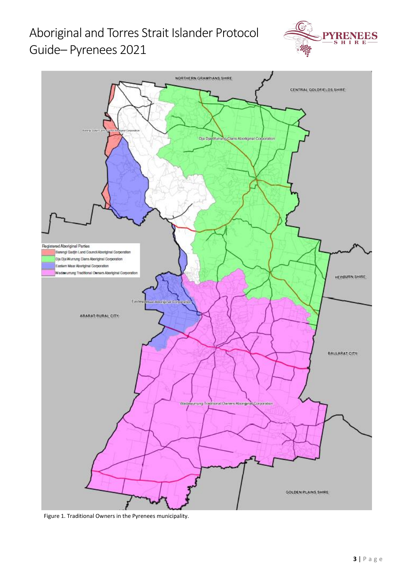



Figure 1. Traditional Owners in the Pyrenees municipality.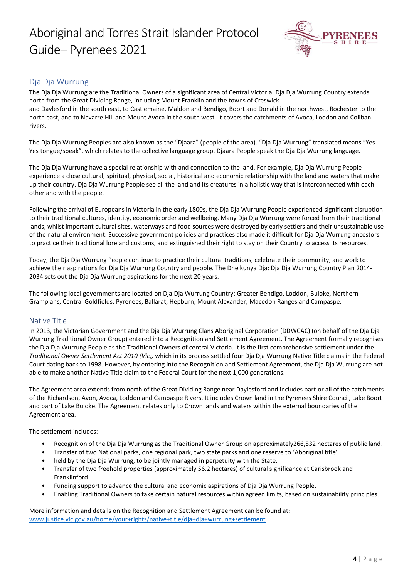

### Dja Dja Wurrung

The Dja Dja Wurrung are the Traditional Owners of a significant area of Central Victoria. Dja Dja Wurrung Country extends north from the Great Dividing Range, including Mount Franklin and the towns of Creswick and Daylesford in the south east, to Castlemaine, Maldon and Bendigo, Boort and Donald in the northwest, Rochester to the north east, and to Navarre Hill and Mount Avoca in the south west. It covers the catchments of Avoca, Loddon and Coliban rivers.

The Dja Dja Wurrung Peoples are also known as the "Djaara" (people of the area). "Dja Dja Wurrung" translated means "Yes Yes tongue/speak", which relates to the collective language group. Djaara People speak the Dja Dja Wurrung language.

The Dja Dja Wurrung have a special relationship with and connection to the land. For example, Dja Dja Wurrung People experience a close cultural, spiritual, physical, social, historical and economic relationship with the land and waters that make up their country. Dja Dja Wurrung People see all the land and its creatures in a holistic way that is interconnected with each other and with the people.

Following the arrival of Europeans in Victoria in the early 1800s, the Dja Dja Wurrung People experienced significant disruption to their traditional cultures, identity, economic order and wellbeing. Many Dja Dja Wurrung were forced from their traditional lands, whilst important cultural sites, waterways and food sources were destroyed by early settlers and their unsustainable use of the natural environment. Successive government policies and practices also made it difficult for Dja Dja Wurrung ancestors to practice their traditional lore and customs, and extinguished their right to stay on their Country to access its resources.

Today, the Dja Dja Wurrung People continue to practice their cultural traditions, celebrate their community, and work to achieve their aspirations for Dja Dja Wurrung Country and people. The Dhelkunya Dja: Dja Dja Wurrung Country Plan 2014- 2034 sets out the Dja Dja Wurrung aspirations for the next 20 years.

The following local governments are located on Dja Dja Wurrung Country: Greater Bendigo, Loddon, Buloke, Northern Grampians, Central Goldfields, Pyrenees, Ballarat, Hepburn, Mount Alexander, Macedon Ranges and Campaspe.

#### Native Title

In 2013, the Victorian Government and the Dja Dja Wurrung Clans Aboriginal Corporation (DDWCAC) (on behalf of the Dja Dja Wurrung Traditional Owner Group) entered into a Recognition and Settlement Agreement. The Agreement formally recognises the Dja Dja Wurrung People as the Traditional Owners of central Victoria. It is the first comprehensive settlement under the *Traditional Owner Settlement Act 2010 (Vic),* which in its process settled four Dja Dja Wurrung Native Title claims in the Federal Court dating back to 1998. However, by entering into the Recognition and Settlement Agreement, the Dja Dja Wurrung are not able to make another Native Title claim to the Federal Court for the next 1,000 generations.

The Agreement area extends from north of the Great Dividing Range near Daylesford and includes part or all of the catchments of the Richardson, Avon, Avoca, Loddon and Campaspe Rivers. It includes Crown land in the Pyrenees Shire Council, Lake Boort and part of Lake Buloke. The Agreement relates only to Crown lands and waters within the external boundaries of the Agreement area.

The settlement includes:

- Recognition of the Dja Dja Wurrung as the Traditional Owner Group on approximately266,532 hectares of public land.
- Transfer of two National parks, one regional park, two state parks and one reserve to 'Aboriginal title'
- held by the Dja Dja Wurrung, to be jointly managed in perpetuity with the State.
- Transfer of two freehold properties (approximately 56.2 hectares) of cultural significance at Carisbrook and Franklinford.
- Funding support to advance the cultural and economic aspirations of Dja Dja Wurrung People.
- Enabling Traditional Owners to take certain natural resources within agreed limits, based on sustainability principles.

More information and details on the Recognition and Settlement Agreement can be found at: [www.justice.vic.gov.au/home/your+rights/native+title/dja+dja+wurrung+settlement](http://www.justice.vic.gov.au/home/your+rights/native+title/dja+dja+wurrung+settlement)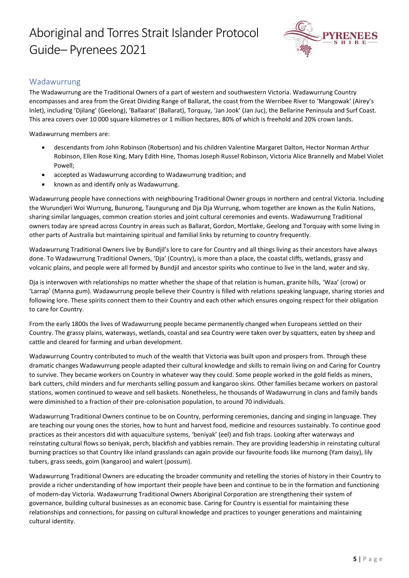

#### Wadawurrung

The Wadawurrung are the Traditional Owners of a part of western and southwestern Victoria. Wadawurrung Country encompasses and area from the Great Dividing Range of Ballarat, the coast from the Werribee River to 'Mangowak' (Airey's Inlet), including 'Djilang' (Geelong), 'Ballaarat' (Ballarat), Torquay, 'Jan Jook' (Jan Juc), the Bellarine Peninsula and Surf Coast. This area covers over 10 000 square kilometres or 1 million hectares, 80% of which is freehold and 20% crown lands.

Wadawurrung members are:

- descendants from John Robinson (Robertson) and his children Valentine Margaret Dalton, Hector Norman Arthur Robinson, Ellen Rose King, Mary Edith Hine, Thomas Joseph Russel Robinson, Victoria Alice Brannelly and Mabel Violet Powell;
- accepted as Wadawurrung according to Wadawurrung tradition; and
- known as and identify only as Wadawurrung.

Wadawurrung people have connections with neighbouring Traditional Owner groups in northern and central Victoria. Including the Wurundjeri Woi Wurrung, Bunurong, Taungurung and Dja Dja Wurrung, whom together are known as the Kulin Nations, sharing similar languages, common creation stories and joint cultural ceremonies and events. Wadawurrung Traditional owners today are spread across Country in areas such as Ballarat, Gordon, Mortlake, Geelong and Torquay with some living in other parts of Australia but maintaining spiritual and familial links by returning to country frequently.

Wadawurrung Traditional Owners live by Bundjil's lore to care for Country and all things living as their ancestors have always done. To Wadawurrung Traditional Owners, 'Dja' (Country), is more than a place, the coastal cliffs, wetlands, grassy and volcanic plains, and people were all formed by Bundjil and ancestor spirits who continue to live in the land, water and sky.

Dja is interwoven with relationships no matter whether the shape of that relation is human, granite hills, 'Waa' (crow) or 'Larrap' (Manna gum). Wadawurrung people believe their Country is filled with relations speaking language, sharing stories and following lore. These spirits connect them to their Country and each other which ensures ongoing respect for their obligation to care for Country.

From the early 1800s the lives of Wadawurrung people became permanently changed when Europeans settled on their Country. The grassy plains, waterways, wetlands, coastal and sea Country were taken over by squatters, eaten by sheep and cattle and cleared for farming and urban development.

Wadawurrung Country contributed to much of the wealth that Victoria was built upon and prospers from. Through these dramatic changes Wadawurrung people adapted their cultural knowledge and skills to remain living on and Caring for Country to survive. They became workers on Country in whatever way they could. Some people worked in the gold fields as miners, bark cutters, child minders and fur merchants selling possum and kangaroo skins. Other families became workers on pastoral stations, women continued to weave and sell baskets. Nonetheless, he thousands of Wadawurrung in clans and family bands were diminished to a fraction of their pre-colonisation population, to around 70 individuals.

Wadawurrung Traditional Owners continue to be on Country, performing ceremonies, dancing and singing in language. They are teaching our young ones the stories, how to hunt and harvest food, medicine and resources sustainably. To continue good practices as their ancestors did with aquaculture systems, 'beniyak' (eel) and fish traps. Looking after waterways and reinstating cultural flows so beniyak, perch, blackfish and yabbies remain. They are providing leadership in reinstating cultural burning practices so that Country like inland grasslands can again provide our favourite foods like murnong (Yam daisy), lily tubers, grass seeds, goim (kangaroo) and walert (possum).

Wadawurrung Traditional Owners are educating the broader community and retelling the stories of history in their Country to provide a richer understanding of how important their people have been and continue to be in the formation and functioning of modern-day Victoria. Wadawurrung Traditional Owners Aboriginal Corporation are strengthening their system of governance, building cultural businesses as an economic base. Caring for Country is essential for maintaining these relationships and connections, for passing on cultural knowledge and practices to younger generations and maintaining cultural identity.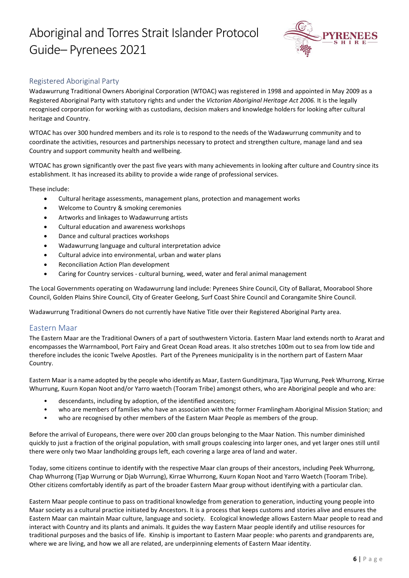

#### Registered Aboriginal Party

Wadawurrung Traditional Owners Aboriginal Corporation (WTOAC) was registered in 1998 and appointed in May 2009 as a Registered Aboriginal Party with statutory rights and under the *Victorian Aboriginal Heritage Act 2006.* It is the legally recognised corporation for working with as custodians, decision makers and knowledge holders for looking after cultural heritage and Country.

WTOAC has over 300 hundred members and its role is to respond to the needs of the Wadawurrung community and to coordinate the activities, resources and partnerships necessary to protect and strengthen culture, manage land and sea Country and support community health and wellbeing.

WTOAC has grown significantly over the past five years with many achievements in looking after culture and Country since its establishment. It has increased its ability to provide a wide range of professional services.

These include:

- Cultural heritage assessments, management plans, protection and management works
- Welcome to Country & smoking ceremonies
- Artworks and linkages to Wadawurrung artists
- Cultural education and awareness workshops
- Dance and cultural practices workshops
- Wadawurrung language and cultural interpretation advice
- Cultural advice into environmental, urban and water plans
- Reconciliation Action Plan development
- Caring for Country services cultural burning, weed, water and feral animal management

The Local Governments operating on Wadawurrung land include: Pyrenees Shire Council, City of Ballarat, Moorabool Shore Council, Golden Plains Shire Council, City of Greater Geelong, Surf Coast Shire Council and Corangamite Shire Council.

Wadawurrung Traditional Owners do not currently have Native Title over their Registered Aboriginal Party area.

#### Eastern Maar

The Eastern Maar are the Traditional Owners of a part of southwestern Victoria. Eastern Maar land extends north to Ararat and encompasses the Warrnambool, Port Fairy and Great Ocean Road areas. It also stretches 100m out to sea from low tide and therefore includes the iconic Twelve Apostles. Part of the Pyrenees municipality is in the northern part of Eastern Maar Country.

Eastern Maar is a name adopted by the people who identify as Maar, Eastern Gunditjmara, Tjap Wurrung, Peek Whurrong, Kirrae Whurrung, Kuurn Kopan Noot and/or Yarro waetch (Tooram Tribe) amongst others, who are Aboriginal people and who are:

- descendants, including by adoption, of the identified ancestors;
- who are members of families who have an association with the former Framlingham Aboriginal Mission Station; and
- who are recognised by other members of the Eastern Maar People as members of the group.

Before the arrival of Europeans, there were over 200 clan groups belonging to the Maar Nation. This number diminished quickly to just a fraction of the original population, with small groups coalescing into larger ones, and yet larger ones still until there were only two Maar landholding groups left, each covering a large area of land and water.

Today, some citizens continue to identify with the respective Maar clan groups of their ancestors, including Peek Whurrong, Chap Whurrong (Tjap Wurrung or Djab Wurrung), Kirrae Whurrong, Kuurn Kopan Noot and Yarro Waetch (Tooram Tribe). Other citizens comfortably identify as part of the broader Eastern Maar group without identifying with a particular clan.

Eastern Maar people continue to pass on traditional knowledge from generation to generation, inducting young people into Maar society as a cultural practice initiated by Ancestors. It is a process that keeps customs and stories alive and ensures the Eastern Maar can maintain Maar culture, language and society. Ecological knowledge allows Eastern Maar people to read and interact with Country and its plants and animals. It guides the way Eastern Maar people identify and utilise resources for traditional purposes and the basics of life. Kinship is important to Eastern Maar people: who parents and grandparents are, where we are living, and how we all are related, are underpinning elements of Eastern Maar identity.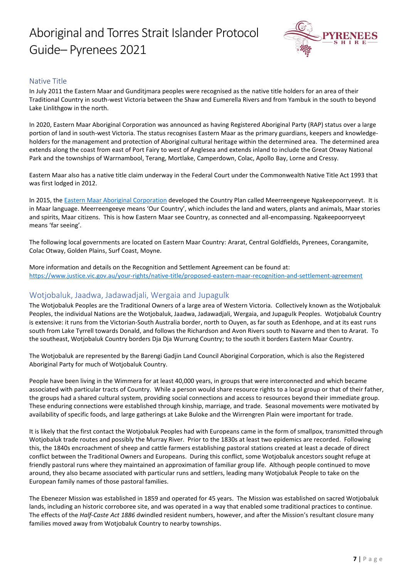

#### Native Title

In July 2011 the Eastern Maar and Gunditjmara peoples were recognised as the native title holders for an area of their Traditional Country in south-west Victoria between the Shaw and Eumerella Rivers and from Yambuk in the south to beyond Lake Linlithgow in the north.

In 2020, Eastern Maar Aboriginal Corporation was announced as having Registered Aboriginal Party (RAP) status over a large portion of land in south-west Victoria. The status recognises Eastern Maar as the primary guardians, keepers and knowledgeholders for the management and protection of Aboriginal cultural heritage within the determined area. The determined area extends along the coast from east of Port Fairy to west of Anglesea and extends inland to include the Great Otway National Park and the townships of Warrnambool, Terang, Mortlake, Camperdown, Colac, Apollo Bay, Lorne and Cressy.

Eastern Maar also has a native title claim underway in the Federal Court under the Commonwealth Native Title Act 1993 that was first lodged in 2012.

In 2015, th[e Eastern Maar Aboriginal Corporation](https://easternmaar.com.au/) developed the Country Plan called Meerreengeeye Ngakeepoorryeeyt. It is in Maar language. Meerreengeeye means 'Our Country', which includes the land and waters, plants and animals, Maar stories and spirits, Maar citizens. This is how Eastern Maar see Country, as connected and all-encompassing. Ngakeepoorryeeyt means 'far seeing'.

The following local governments are located on Eastern Maar Country: Ararat, Central Goldfields, Pyrenees, Corangamite, Colac Otway, Golden Plains, Surf Coast, Moyne.

More information and details on the Recognition and Settlement Agreement can be found at: <https://www.justice.vic.gov.au/your-rights/native-title/proposed-eastern-maar-recognition-and-settlement-agreement>

#### Wotjobaluk, Jaadwa, Jadawadjali, Wergaia and Jupagulk

The Wotjobaluk Peoples are the Traditional Owners of a large area of Western Victoria. Collectively known as the Wotjobaluk Peoples, the individual Nations are the Wotjobaluk, Jaadwa, Jadawadjali, Wergaia, and Jupagulk Peoples. Wotjobaluk Country is extensive: it runs from the Victorian-South Australia border, north to Ouyen, as far south as Edenhope, and at its east runs south from Lake Tyrrell towards Donald, and follows the Richardson and Avon Rivers south to Navarre and then to Ararat. To the southeast, Wotjobaluk Country borders Dja Dja Wurrung Country; to the south it borders Eastern Maar Country.

The Wotjobaluk are represented by the Barengi Gadjin Land Council Aboriginal Corporation, which is also the Registered Aboriginal Party for much of Wotjobaluk Country.

People have been living in the Wimmera for at least 40,000 years, in groups that were interconnected and which became associated with particular tracts of Country. While a person would share resource rights to a local group or that of their father, the groups had a shared cultural system, providing social connections and access to resources beyond their immediate group. These enduring connections were established through kinship, marriage, and trade. Seasonal movements were motivated by availability of specific foods, and large gatherings at Lake Buloke and the Wirrengren Plain were important for trade.

It is likely that the first contact the Wotjobaluk Peoples had with Europeans came in the form of smallpox, transmitted through Wotjobaluk trade routes and possibly the Murray River. Prior to the 1830s at least two epidemics are recorded. Following this, the 1840s encroachment of sheep and cattle farmers establishing pastoral stations created at least a decade of direct conflict between the Traditional Owners and Europeans. During this conflict, some Wotjobaluk ancestors sought refuge at friendly pastoral runs where they maintained an approximation of familiar group life. Although people continued to move around, they also became associated with particular runs and settlers, leading many Wotjobaluk People to take on the European family names of those pastoral families.

The Ebenezer Mission was established in 1859 and operated for 45 years. The Mission was established on sacred Wotjobaluk lands, including an historic corroboree site, and was operated in a way that enabled some traditional practices to continue. The effects of the *Half-Caste Act 1886* dwindled resident numbers, however, and after the Mission's resultant closure many families moved away from Wotjobaluk Country to nearby townships.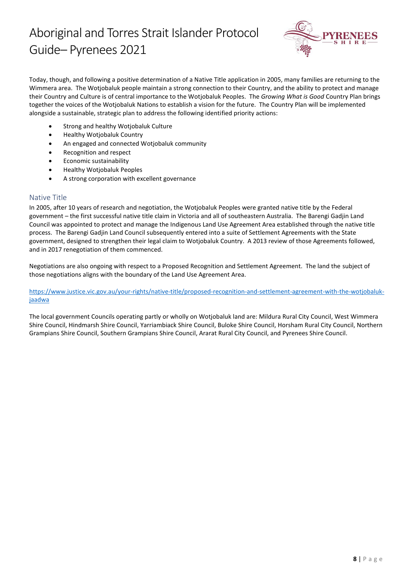

Today, though, and following a positive determination of a Native Title application in 2005, many families are returning to the Wimmera area. The Wotjobaluk people maintain a strong connection to their Country, and the ability to protect and manage their Country and Culture is of central importance to the Wotjobaluk Peoples. The *Growing What is Good* Country Plan brings together the voices of the Wotjobaluk Nations to establish a vision for the future. The Country Plan will be implemented alongside a sustainable, strategic plan to address the following identified priority actions:

- Strong and healthy Wotjobaluk Culture
- Healthy Wotjobaluk Country
- An engaged and connected Wotjobaluk community
- Recognition and respect
- Economic sustainability
- Healthy Wotjobaluk Peoples
- A strong corporation with excellent governance

#### Native Title

In 2005, after 10 years of research and negotiation, the Wotjobaluk Peoples were granted native title by the Federal government – the first successful native title claim in Victoria and all of southeastern Australia. The Barengi Gadjin Land Council was appointed to protect and manage the Indigenous Land Use Agreement Area established through the native title process. The Barengi Gadjin Land Council subsequently entered into a suite of Settlement Agreements with the State government, designed to strengthen their legal claim to Wotjobaluk Country. A 2013 review of those Agreements followed, and in 2017 renegotiation of them commenced.

Negotiations are also ongoing with respect to a Proposed Recognition and Settlement Agreement. The land the subject of those negotiations aligns with the boundary of the Land Use Agreement Area.

[https://www.justice.vic.gov.au/your-rights/native-title/proposed-recognition-and-settlement-agreement-with-the-wotjobaluk](https://www.justice.vic.gov.au/your-rights/native-title/proposed-recognition-and-settlement-agreement-with-the-wotjobaluk-jaadwa)[jaadwa](https://www.justice.vic.gov.au/your-rights/native-title/proposed-recognition-and-settlement-agreement-with-the-wotjobaluk-jaadwa)

The local government Councils operating partly or wholly on Wotjobaluk land are: Mildura Rural City Council, West Wimmera Shire Council, Hindmarsh Shire Council, Yarriambiack Shire Council, Buloke Shire Council, Horsham Rural City Council, Northern Grampians Shire Council, Southern Grampians Shire Council, Ararat Rural City Council, and Pyrenees Shire Council.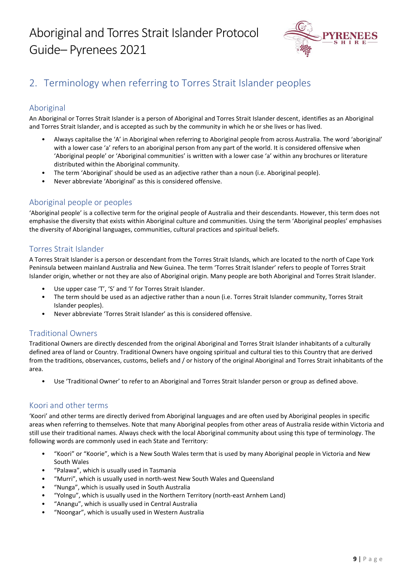

### 2. Terminology when referring to Torres Strait Islander peoples

### Aboriginal

An Aboriginal or Torres Strait Islander is a person of Aboriginal and Torres Strait Islander descent, identifies as an Aboriginal and Torres Strait Islander, and is accepted as such by the community in which he or she lives or has lived.

- Always capitalise the 'A' in Aboriginal when referring to Aboriginal people from across Australia. The word 'aboriginal' with a lower case 'a' refers to an aboriginal person from any part of the world. It is considered offensive when 'Aboriginal people' or 'Aboriginal communities' is written with a lower case 'a' within any brochures or literature distributed within the Aboriginal community.
- The term 'Aboriginal' should be used as an adjective rather than a noun (i.e. Aboriginal people).
- Never abbreviate 'Aboriginal' as this is considered offensive.

#### Aboriginal people or peoples

'Aboriginal people' is a collective term for the original people of Australia and their descendants. However, this term does not emphasise the diversity that exists within Aboriginal culture and communities. Using the term 'Aboriginal peoples' emphasises the diversity of Aboriginal languages, communities, cultural practices and spiritual beliefs.

#### Torres Strait Islander

A Torres Strait Islander is a person or descendant from the Torres Strait Islands, which are located to the north of Cape York Peninsula between mainland Australia and New Guinea. The term 'Torres Strait Islander' refers to people of Torres Strait Islander origin, whether or not they are also of Aboriginal origin. Many people are both Aboriginal and Torres Strait Islander.

- Use upper case 'T', 'S' and 'I' for Torres Strait Islander.
- The term should be used as an adjective rather than a noun (i.e. Torres Strait Islander community, Torres Strait Islander peoples).
- Never abbreviate 'Torres Strait Islander' as this is considered offensive.

#### Traditional Owners

Traditional Owners are directly descended from the original Aboriginal and Torres Strait Islander inhabitants of a culturally defined area of land or Country. Traditional Owners have ongoing spiritual and cultural ties to this Country that are derived from the traditions, observances, customs, beliefs and / or history of the original Aboriginal and Torres Strait inhabitants of the area.

• Use 'Traditional Owner' to refer to an Aboriginal and Torres Strait Islander person or group as defined above.

#### Koori and other terms

'Koori' and other terms are directly derived from Aboriginal languages and are often used by Aboriginal peoples in specific areas when referring to themselves. Note that many Aboriginal peoples from other areas of Australia reside within Victoria and still use their traditional names. Always check with the local Aboriginal community about using this type of terminology. The following words are commonly used in each State and Territory:

- "Koori" or "Koorie", which is a New South Wales term that is used by many Aboriginal people in Victoria and New South Wales
- "Palawa", which is usually used in Tasmania
- "Murri", which is usually used in north-west New South Wales and Queensland
- "Nunga", which is usually used in South Australia
- "Yolngu", which is usually used in the Northern Territory (north-east Arnhem Land)
- "Anangu", which is usually used in Central Australia
- "Noongar", which is usually used in Western Australia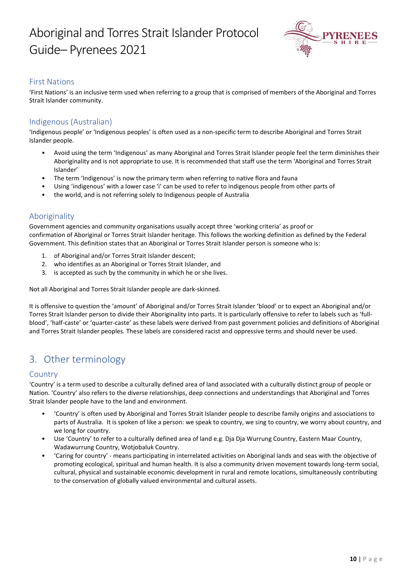

#### First Nations

'First Nations' is an inclusive term used when referring to a group that is comprised of members of the Aboriginal and Torres Strait Islander community.

#### Indigenous (Australian)

'Indigenous people' or 'Indigenous peoples' is often used as a non-specific term to describe Aboriginal and Torres Strait Islander people.

- Avoid using the term 'Indigenous' as many Aboriginal and Torres Strait Islander people feel the term diminishes their Aboriginality and is not appropriate to use. It is recommended that staff use the term 'Aboriginal and Torres Strait Islander'
- The term 'Indigenous' is now the primary term when referring to native flora and fauna
- Using 'indigenous' with a lower case 'i' can be used to refer to indigenous people from other parts of
- the world, and is not referring solely to Indigenous people of Australia

#### Aboriginality

Government agencies and community organisations usually accept three 'working criteria' as proof or confirmation of Aboriginal or Torres Strait Islander heritage. This follows the working definition as defined by the Federal Government. This definition states that an Aboriginal or Torres Strait Islander person is someone who is:

- 1. of Aboriginal and/or Torres Strait Islander descent;
- 2. who identifies as an Aboriginal or Torres Strait Islander, and
- 3. is accepted as such by the community in which he or she lives.

Not all Aboriginal and Torres Strait Islander people are dark-skinned.

It is offensive to question the 'amount' of Aboriginal and/or Torres Strait Islander 'blood' or to expect an Aboriginal and/or Torres Strait Islander person to divide their Aboriginality into parts. It is particularly offensive to refer to labels such as 'fullblood', 'half-caste' or 'quarter-caste' as these labels were derived from past government policies and definitions of Aboriginal and Torres Strait Islander peoples. These labels are considered racist and oppressive terms and should never be used.

### 3. Other terminology

#### **Country**

'Country' is a term used to describe a culturally defined area of land associated with a culturally distinct group of people or Nation. 'Country' also refers to the diverse relationships, deep connections and understandings that Aboriginal and Torres Strait Islander people have to the land and environment.

- 'Country' is often used by Aboriginal and Torres Strait Islander people to describe family origins and associations to parts of Australia. It is spoken of like a person: we speak to country, we sing to country, we worry about country, and we long for country.
- Use 'Country' to refer to a culturally defined area of land e.g. Dja Dja Wurrung Country, Eastern Maar Country, Wadawurrung Country, Wotjobaluk Country.
- 'Caring for country' means participating in interrelated activities on Aboriginal lands and seas with the objective of promoting ecological, spiritual and human health. It is also a community driven movement towards long-term social, cultural, physical and sustainable economic development in rural and remote locations, simultaneously contributing to the conservation of globally valued environmental and cultural assets.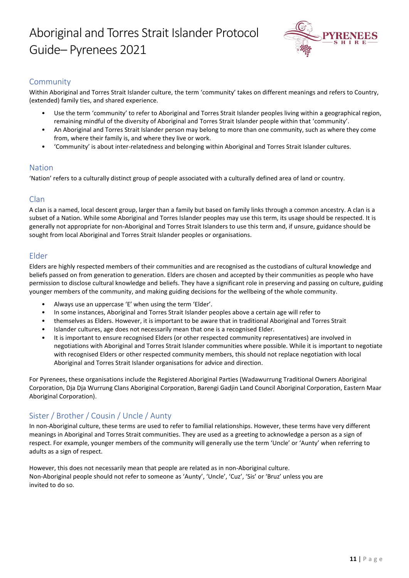

#### **Community**

Within Aboriginal and Torres Strait Islander culture, the term 'community' takes on different meanings and refers to Country, (extended) family ties, and shared experience.

- Use the term 'community' to refer to Aboriginal and Torres Strait Islander peoples living within a geographical region, remaining mindful of the diversity of Aboriginal and Torres Strait Islander people within that 'community'.
- An Aboriginal and Torres Strait Islander person may belong to more than one community, such as where they come from, where their family is, and where they live or work.
- 'Community' is about inter-relatedness and belonging within Aboriginal and Torres Strait Islander cultures.

#### Nation

'Nation' refers to a culturally distinct group of people associated with a culturally defined area of land or country.

#### Clan

A clan is a named, local descent group, larger than a family but based on family links through a common ancestry. A clan is a subset of a Nation. While some Aboriginal and Torres Islander peoples may use this term, its usage should be respected. It is generally not appropriate for non-Aboriginal and Torres Strait Islanders to use this term and, if unsure, guidance should be sought from local Aboriginal and Torres Strait Islander peoples or organisations.

#### Elder

Elders are highly respected members of their communities and are recognised as the custodians of cultural knowledge and beliefs passed on from generation to generation. Elders are chosen and accepted by their communities as people who have permission to disclose cultural knowledge and beliefs. They have a significant role in preserving and passing on culture, guiding younger members of the community, and making guiding decisions for the wellbeing of the whole community.

- Always use an uppercase 'E' when using the term 'Elder'.
- In some instances, Aboriginal and Torres Strait Islander peoples above a certain age will refer to
- themselves as Elders. However, it is important to be aware that in traditional Aboriginal and Torres Strait
- Islander cultures, age does not necessarily mean that one is a recognised Elder.
- It is important to ensure recognised Elders (or other respected community representatives) are involved in negotiations with Aboriginal and Torres Strait Islander communities where possible. While it is important to negotiate with recognised Elders or other respected community members, this should not replace negotiation with local Aboriginal and Torres Strait Islander organisations for advice and direction.

For Pyrenees, these organisations include the Registered Aboriginal Parties (Wadawurrung Traditional Owners Aboriginal Corporation, Dja Dja Wurrung Clans Aboriginal Corporation, Barengi Gadjin Land Council Aboriginal Corporation, Eastern Maar Aboriginal Corporation).

#### Sister / Brother / Cousin / Uncle / Aunty

In non-Aboriginal culture, these terms are used to refer to familial relationships. However, these terms have very different meanings in Aboriginal and Torres Strait communities. They are used as a greeting to acknowledge a person as a sign of respect. For example, younger members of the community will generally use the term 'Uncle' or 'Aunty' when referring to adults as a sign of respect.

However, this does not necessarily mean that people are related as in non-Aboriginal culture. Non-Aboriginal people should not refer to someone as 'Aunty', 'Uncle', 'Cuz', 'Sis' or 'Bruz' unless you are invited to do so.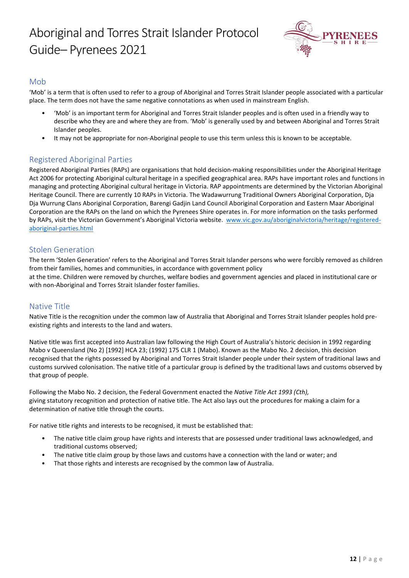

#### Mob

'Mob' is a term that is often used to refer to a group of Aboriginal and Torres Strait Islander people associated with a particular place. The term does not have the same negative connotations as when used in mainstream English.

- 'Mob' is an important term for Aboriginal and Torres Strait Islander peoples and is often used in a friendly way to describe who they are and where they are from. 'Mob' is generally used by and between Aboriginal and Torres Strait Islander peoples.
- It may not be appropriate for non-Aboriginal people to use this term unless this is known to be acceptable.

#### Registered Aboriginal Parties

Registered Aboriginal Parties (RAPs) are organisations that hold decision-making responsibilities under the Aboriginal Heritage Act 2006 for protecting Aboriginal cultural heritage in a specified geographical area. RAPs have important roles and functions in managing and protecting Aboriginal cultural heritage in Victoria. RAP appointments are determined by the Victorian Aboriginal Heritage Council. There are currently 10 RAPs in Victoria. The Wadawurrung Traditional Owners Aboriginal Corporation, Dja Dja Wurrung Clans Aboriginal Corporation, Barengi Gadjin Land Council Aboriginal Corporation and Eastern Maar Aboriginal Corporation are the RAPs on the land on which the Pyrenees Shire operates in. For more information on the tasks performed by RAPs, visit the Victorian Government's Aboriginal Victoria website. [www.vic.gov.au/aboriginalvictoria/heritage/registered](http://www.vic.gov.au/aboriginalvictoria/heritage/registered-aboriginal-parties.html)[aboriginal-parties.html](http://www.vic.gov.au/aboriginalvictoria/heritage/registered-aboriginal-parties.html)

#### Stolen Generation

The term 'Stolen Generation' refers to the Aboriginal and Torres Strait Islander persons who were forcibly removed as children from their families, homes and communities, in accordance with government policy at the time. Children were removed by churches, welfare bodies and government agencies and placed in institutional care or with non-Aboriginal and Torres Strait Islander foster families.

#### Native Title

Native Title is the recognition under the common law of Australia that Aboriginal and Torres Strait Islander peoples hold preexisting rights and interests to the land and waters.

Native title was first accepted into Australian law following the High Court of Australia's historic decision in 1992 regarding Mabo v Queensland (No 2) [1992] HCA 23; (1992) 175 CLR 1 (Mabo). Known as the Mabo No. 2 decision, this decision recognised that the rights possessed by Aboriginal and Torres Strait Islander people under their system of traditional laws and customs survived colonisation. The native title of a particular group is defined by the traditional laws and customs observed by that group of people.

Following the Mabo No. 2 decision, the Federal Government enacted the *Native Title Act 1993 (Cth),* giving statutory recognition and protection of native title. The Act also lays out the procedures for making a claim for a determination of native title through the courts.

For native title rights and interests to be recognised, it must be established that:

- The native title claim group have rights and interests that are possessed under traditional laws acknowledged, and traditional customs observed;
- The native title claim group by those laws and customs have a connection with the land or water; and
- That those rights and interests are recognised by the common law of Australia.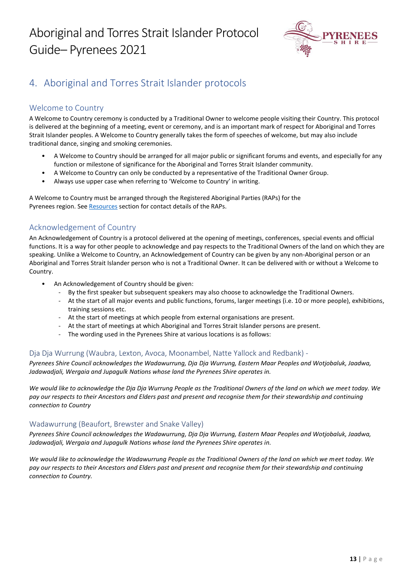

### 4. Aboriginal and Torres Strait Islander protocols

#### Welcome to Country

A Welcome to Country ceremony is conducted by a Traditional Owner to welcome people visiting their Country. This protocol is delivered at the beginning of a meeting, event or ceremony, and is an important mark of respect for Aboriginal and Torres Strait Islander peoples. A Welcome to Country generally takes the form of speeches of welcome, but may also include traditional dance, singing and smoking ceremonies.

- A Welcome to Country should be arranged for all major public or significant forums and events, and especially for any function or milestone of significance for the Aboriginal and Torres Strait Islander community.
- A Welcome to Country can only be conducted by a representative of the Traditional Owner Group.
- Always use upper case when referring to 'Welcome to Country' in writing.

A Welcome to Country must be arranged through the Registered Aboriginal Parties (RAPs) for the Pyrenees region. Se[e Resources](#page-21-0) section for contact details of the RAPs.

#### Acknowledgement of Country

An Acknowledgement of Country is a protocol delivered at the opening of meetings, conferences, special events and official functions. It is a way for other people to acknowledge and pay respects to the Traditional Owners of the land on which they are speaking. Unlike a Welcome to Country, an Acknowledgement of Country can be given by any non-Aboriginal person or an Aboriginal and Torres Strait Islander person who is not a Traditional Owner. It can be delivered with or without a Welcome to Country.

- An Acknowledgement of Country should be given:
	- By the first speaker but subsequent speakers may also choose to acknowledge the Traditional Owners.
	- At the start of all major events and public functions, forums, larger meetings (i.e. 10 or more people), exhibitions, training sessions etc.
	- At the start of meetings at which people from external organisations are present.
	- At the start of meetings at which Aboriginal and Torres Strait Islander persons are present.
	- The wording used in the Pyrenees Shire at various locations is as follows:

#### Dja Dja Wurrung (Waubra, Lexton, Avoca, Moonambel, Natte Yallock and Redbank) -

*Pyrenees Shire Council acknowledges the Wadawurrung, Dja Dja Wurrung, Eastern Maar Peoples and Wotjobaluk, Jaadwa, Jadawadjali, Wergaia and Jupagulk Nations whose land the Pyrenees Shire operates in.*

*We would like to acknowledge the Dja Dja Wurrung People as the Traditional Owners of the land on which we meet today. We pay our respects to their Ancestors and Elders past and present and recognise them for their stewardship and continuing connection to Country*

#### Wadawurrung (Beaufort, Brewster and Snake Valley)

*Pyrenees Shire Council acknowledges the Wadawurrung, Dja Dja Wurrung, Eastern Maar Peoples and Wotjobaluk, Jaadwa, Jadawadjali, Wergaia and Jupagulk Nations whose land the Pyrenees Shire operates in.*

*We would like to acknowledge the Wadawurrung People as the Traditional Owners of the land on which we meet today. We pay our respects to their Ancestors and Elders past and present and recognise them for their stewardship and continuing connection to Country.*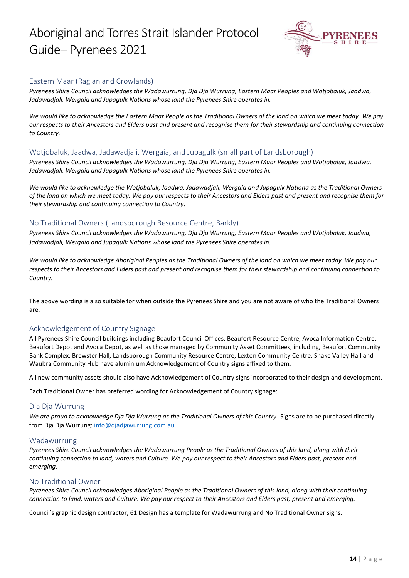

#### Eastern Maar (Raglan and Crowlands)

*Pyrenees Shire Council acknowledges the Wadawurrung, Dja Dja Wurrung, Eastern Maar Peoples and Wotjobaluk, Jaadwa, Jadawadjali, Wergaia and Jupagulk Nations whose land the Pyrenees Shire operates in.*

*We would like to acknowledge the Eastern Maar People as the Traditional Owners of the land on which we meet today. We pay our respects to their Ancestors and Elders past and present and recognise them for their stewardship and continuing connection to Country.*

#### Wotjobaluk, Jaadwa, Jadawadjali, Wergaia, and Jupagulk (small part of Landsborough)

*Pyrenees Shire Council acknowledges the Wadawurrung, Dja Dja Wurrung, Eastern Maar Peoples and Wotjobaluk, Jaadwa, Jadawadjali, Wergaia and Jupagulk Nations whose land the Pyrenees Shire operates in.*

*We would like to acknowledge the Wotjobaluk, Jaadwa, Jadawadjali, Wergaia and Jupagulk Nationa as the Traditional Owners of the land on which we meet today. We pay our respects to their Ancestors and Elders past and present and recognise them for their stewardship and continuing connection to Country.*

#### No Traditional Owners (Landsborough Resource Centre, Barkly)

*Pyrenees Shire Council acknowledges the Wadawurrung, Dja Dja Wurrung, Eastern Maar Peoples and Wotjobaluk, Jaadwa, Jadawadjali, Wergaia and Jupagulk Nations whose land the Pyrenees Shire operates in.*

*We would like to acknowledge Aboriginal Peoples as the Traditional Owners of the land on which we meet today. We pay our respects to their Ancestors and Elders past and present and recognise them for their stewardship and continuing connection to Country.*

The above wording is also suitable for when outside the Pyrenees Shire and you are not aware of who the Traditional Owners are.

#### Acknowledgement of Country Signage

All Pyrenees Shire Council buildings including Beaufort Council Offices, Beaufort Resource Centre, Avoca Information Centre, Beaufort Depot and Avoca Depot, as well as those managed by Community Asset Committees, including, Beaufort Community Bank Complex, Brewster Hall, Landsborough Community Resource Centre, Lexton Community Centre, Snake Valley Hall and Waubra Community Hub have aluminium Acknowledgement of Country signs affixed to them.

All new community assets should also have Acknowledgement of Country signs incorporated to their design and development.

Each Traditional Owner has preferred wording for Acknowledgement of Country signage:

#### Dja Dja Wurrung

*We are proud to acknowledge Dja Dja Wurrung as the Traditional Owners of this Country.* Signs are to be purchased directly from Dja Dja Wurrung: [info@djadjawurrung.com.au.](mailto:info@djadjawurrung.com.au)

#### Wadawurrung

*Pyrenees Shire Council acknowledges the Wadawurrung People as the Traditional Owners of this land, along with their continuing connection to land, waters and Culture. We pay our respect to their Ancestors and Elders past, present and emerging.*

#### No Traditional Owner

*Pyrenees Shire Council acknowledges Aboriginal People as the Traditional Owners of this land, along with their continuing connection to land, waters and Culture. We pay our respect to their Ancestors and Elders past, present and emerging.*

Council's graphic design contractor, 61 Design has a template for Wadawurrung and No Traditional Owner signs.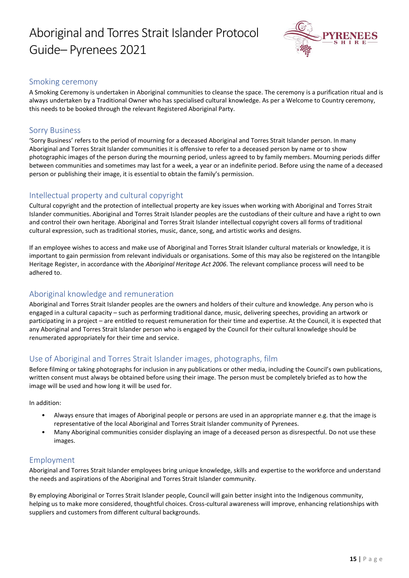

#### Smoking ceremony

A Smoking Ceremony is undertaken in Aboriginal communities to cleanse the space. The ceremony is a purification ritual and is always undertaken by a Traditional Owner who has specialised cultural knowledge. As per a Welcome to Country ceremony, this needs to be booked through the relevant Registered Aboriginal Party.

#### Sorry Business

'Sorry Business' refers to the period of mourning for a deceased Aboriginal and Torres Strait Islander person. In many Aboriginal and Torres Strait Islander communities it is offensive to refer to a deceased person by name or to show photographic images of the person during the mourning period, unless agreed to by family members. Mourning periods differ between communities and sometimes may last for a week, a year or an indefinite period. Before using the name of a deceased person or publishing their image, it is essential to obtain the family's permission.

#### Intellectual property and cultural copyright

Cultural copyright and the protection of intellectual property are key issues when working with Aboriginal and Torres Strait Islander communities. Aboriginal and Torres Strait Islander peoples are the custodians of their culture and have a right to own and control their own heritage. Aboriginal and Torres Strait Islander intellectual copyright covers all forms of traditional cultural expression, such as traditional stories, music, dance, song, and artistic works and designs.

If an employee wishes to access and make use of Aboriginal and Torres Strait Islander cultural materials or knowledge, it is important to gain permission from relevant individuals or organisations. Some of this may also be registered on the Intangible Heritage Register, in accordance with the *Aboriginal Heritage Act 2006*. The relevant compliance process will need to be adhered to.

#### Aboriginal knowledge and remuneration

Aboriginal and Torres Strait Islander peoples are the owners and holders of their culture and knowledge. Any person who is engaged in a cultural capacity – such as performing traditional dance, music, delivering speeches, providing an artwork or participating in a project – are entitled to request remuneration for their time and expertise. At the Council, it is expected that any Aboriginal and Torres Strait Islander person who is engaged by the Council for their cultural knowledge should be renumerated appropriately for their time and service.

#### Use of Aboriginal and Torres Strait Islander images, photographs, film

Before filming or taking photographs for inclusion in any publications or other media, including the Council's own publications, written consent must always be obtained before using their image. The person must be completely briefed as to how the image will be used and how long it will be used for.

In addition:

- Always ensure that images of Aboriginal people or persons are used in an appropriate manner e.g. that the image is representative of the local Aboriginal and Torres Strait Islander community of Pyrenees.
- Many Aboriginal communities consider displaying an image of a deceased person as disrespectful. Do not use these images.

#### Employment

Aboriginal and Torres Strait Islander employees bring unique knowledge, skills and expertise to the workforce and understand the needs and aspirations of the Aboriginal and Torres Strait Islander community.

By employing Aboriginal or Torres Strait Islander people, Council will gain better insight into the Indigenous community, helping us to make more considered, thoughtful choices. Cross-cultural awareness will improve, enhancing relationships with suppliers and customers from different cultural backgrounds.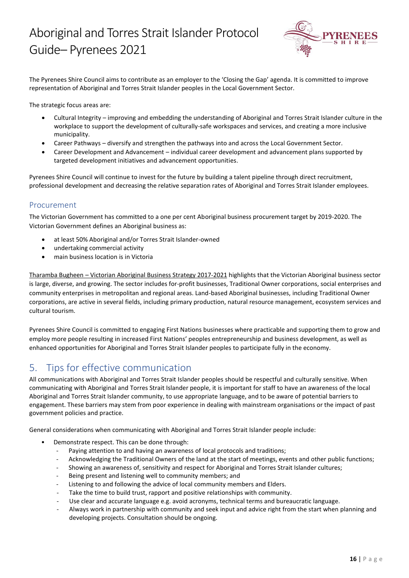

The Pyrenees Shire Council aims to contribute as an employer to the 'Closing the Gap' agenda. It is committed to improve representation of Aboriginal and Torres Strait Islander peoples in the Local Government Sector.

The strategic focus areas are:

- Cultural Integrity improving and embedding the understanding of Aboriginal and Torres Strait Islander culture in the workplace to support the development of culturally-safe workspaces and services, and creating a more inclusive municipality.
- Career Pathways diversify and strengthen the pathways into and across the Local Government Sector.
- Career Development and Advancement individual career development and advancement plans supported by targeted development initiatives and advancement opportunities.

Pyrenees Shire Council will continue to invest for the future by building a talent pipeline through direct recruitment, professional development and decreasing the relative separation rates of Aboriginal and Torres Strait Islander employees.

#### Procurement

The Victorian Government has committed to a one per cent Aboriginal business procurement target by 2019-2020. The Victorian Government defines an Aboriginal business as:

- at least 50% Aboriginal and/or Torres Strait Islander-owned
- undertaking commercial activity
- main business location is in Victoria

Tharamba Bugheen – [Victorian Aboriginal Business Strategy](https://www.business.vic.gov.au/setting-up-a-business/supporting-aboriginal-businesses-and-employment) 2017-2021 highlights that the Victorian Aboriginal business sector is large, diverse, and growing. The sector includes for-profit businesses, Traditional Owner corporations, social enterprises and community enterprises in metropolitan and regional areas. Land-based Aboriginal businesses, including Traditional Owner corporations, are active in several fields, including primary production, natural resource management, ecosystem services and cultural tourism.

Pyrenees Shire Council is committed to engaging First Nations businesses where practicable and supporting them to grow and employ more people resulting in increased First Nations' peoples entrepreneurship and business development, as well as enhanced opportunities for Aboriginal and Torres Strait Islander peoples to participate fully in the economy.

### 5. Tips for effective communication

All communications with Aboriginal and Torres Strait Islander peoples should be respectful and culturally sensitive. When communicating with Aboriginal and Torres Strait Islander people, it is important for staff to have an awareness of the local Aboriginal and Torres Strait Islander community, to use appropriate language, and to be aware of potential barriers to engagement. These barriers may stem from poor experience in dealing with mainstream organisations or the impact of past government policies and practice.

General considerations when communicating with Aboriginal and Torres Strait Islander people include:

- Demonstrate respect. This can be done through:
	- Paying attention to and having an awareness of local protocols and traditions;
	- Acknowledging the Traditional Owners of the land at the start of meetings, events and other public functions;
	- Showing an awareness of, sensitivity and respect for Aboriginal and Torres Strait Islander cultures;
	- Being present and listening well to community members; and
	- Listening to and following the advice of local community members and Elders.
	- Take the time to build trust, rapport and positive relationships with community.
	- Use clear and accurate language e.g. avoid acronyms, technical terms and bureaucratic language.
	- Always work in partnership with community and seek input and advice right from the start when planning and developing projects. Consultation should be ongoing.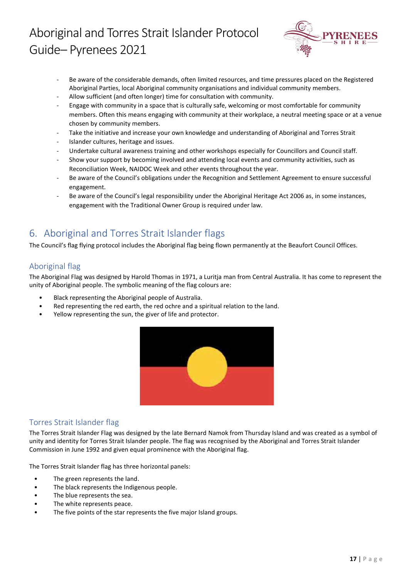

- Be aware of the considerable demands, often limited resources, and time pressures placed on the Registered Aboriginal Parties, local Aboriginal community organisations and individual community members.
- Allow sufficient (and often longer) time for consultation with community.
- Engage with community in a space that is culturally safe, welcoming or most comfortable for community members. Often this means engaging with community at their workplace, a neutral meeting space or at a venue chosen by community members.
- Take the initiative and increase your own knowledge and understanding of Aboriginal and Torres Strait
- Islander cultures, heritage and issues.
- Undertake cultural awareness training and other workshops especially for Councillors and Council staff.
- Show your support by becoming involved and attending local events and community activities, such as Reconciliation Week, NAIDOC Week and other events throughout the year.
- Be aware of the Council's obligations under the Recognition and Settlement Agreement to ensure successful engagement.
- Be aware of the Council's legal responsibility under the Aboriginal Heritage Act 2006 as, in some instances, engagement with the Traditional Owner Group is required under law.

### 6. Aboriginal and Torres Strait Islander flags

The Council's flag flying protocol includes the Aboriginal flag being flown permanently at the Beaufort Council Offices.

### Aboriginal flag

The Aboriginal Flag was designed by Harold Thomas in 1971, a Luritja man from Central Australia. It has come to represent the unity of Aboriginal people. The symbolic meaning of the flag colours are:

- Black representing the Aboriginal people of Australia.
- Red representing the red earth, the red ochre and a spiritual relation to the land.
- Yellow representing the sun, the giver of life and protector.



#### Torres Strait Islander flag

The Torres Strait Islander Flag was designed by the late Bernard Namok from Thursday Island and was created as a symbol of unity and identity for Torres Strait Islander people. The flag was recognised by the Aboriginal and Torres Strait Islander Commission in June 1992 and given equal prominence with the Aboriginal flag.

The Torres Strait Islander flag has three horizontal panels:

- The green represents the land.
- The black represents the Indigenous people.
- The blue represents the sea.
- The white represents peace.
- The five points of the star represents the five major Island groups.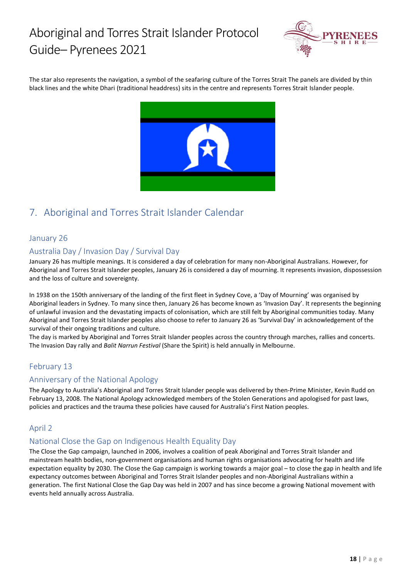

The star also represents the navigation, a symbol of the seafaring culture of the Torres Strait The panels are divided by thin black lines and the white Dhari (traditional headdress) sits in the centre and represents Torres Strait Islander people.



### 7. Aboriginal and Torres Strait Islander Calendar

#### January 26

#### Australia Day / Invasion Day / Survival Day

January 26 has multiple meanings. It is considered a day of celebration for many non-Aboriginal Australians. However, for Aboriginal and Torres Strait Islander peoples, January 26 is considered a day of mourning. It represents invasion, dispossession and the loss of culture and sovereignty.

In 1938 on the 150th anniversary of the landing of the first fleet in Sydney Cove, a 'Day of Mourning' was organised by Aboriginal leaders in Sydney. To many since then, January 26 has become known as 'Invasion Day'. It represents the beginning of unlawful invasion and the devastating impacts of colonisation, which are still felt by Aboriginal communities today. Many Aboriginal and Torres Strait Islander peoples also choose to refer to January 26 as 'Survival Day' in acknowledgement of the survival of their ongoing traditions and culture.

The day is marked by Aboriginal and Torres Strait Islander peoples across the country through marches, rallies and concerts. The Invasion Day rally and *Balit Narrun Festival* (Share the Spirit) is held annually in Melbourne.

#### February 13

#### Anniversary of the National Apology

The Apology to Australia's Aboriginal and Torres Strait Islander people was delivered by then-Prime Minister, Kevin Rudd on February 13, 2008. The National Apology acknowledged members of the Stolen Generations and apologised for past laws, policies and practices and the trauma these policies have caused for Australia's First Nation peoples.

#### April 2

#### National Close the Gap on Indigenous Health Equality Day

The Close the Gap campaign, launched in 2006, involves a coalition of peak Aboriginal and Torres Strait Islander and mainstream health bodies, non-government organisations and human rights organisations advocating for health and life expectation equality by 2030. The Close the Gap campaign is working towards a major goal – to close the gap in health and life expectancy outcomes between Aboriginal and Torres Strait Islander peoples and non-Aboriginal Australians within a generation. The first National Close the Gap Day was held in 2007 and has since become a growing National movement with events held annually across Australia.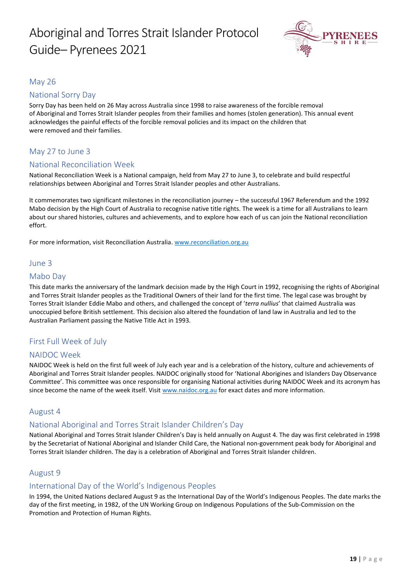

#### May 26

#### National Sorry Day

Sorry Day has been held on 26 May across Australia since 1998 to raise awareness of the forcible removal of Aboriginal and Torres Strait Islander peoples from their families and homes (stolen generation). This annual event acknowledges the painful effects of the forcible removal policies and its impact on the children that were removed and their families.

#### May 27 to June 3

#### National Reconciliation Week

National Reconciliation Week is a National campaign, held from May 27 to June 3, to celebrate and build respectful relationships between Aboriginal and Torres Strait Islander peoples and other Australians.

It commemorates two significant milestones in the reconciliation journey – the successful 1967 Referendum and the 1992 Mabo decision by the High Court of Australia to recognise native title rights. The week is a time for all Australians to learn about our shared histories, cultures and achievements, and to explore how each of us can join the National reconciliation effort.

For more information, visit Reconciliation Australia. [www.reconciliation.org.au](http://www.reconciliation.org.au/)

#### June 3

#### Mabo Day

This date marks the anniversary of the landmark decision made by the High Court in 1992, recognising the rights of Aboriginal and Torres Strait Islander peoples as the Traditional Owners of their land for the first time. The legal case was brought by Torres Strait Islander Eddie Mabo and others, and challenged the concept of '*terra nullius*' that claimed Australia was unoccupied before British settlement. This decision also altered the foundation of land law in Australia and led to the Australian Parliament passing the Native Title Act in 1993.

#### First Full Week of July

#### NAIDOC Week

NAIDOC Week is held on the first full week of July each year and is a celebration of the history, culture and achievements of Aboriginal and Torres Strait Islander peoples. NAIDOC originally stood for 'National Aborigines and Islanders Day Observance Committee'. This committee was once responsible for organising National activities during NAIDOC Week and its acronym has since become the name of the week itself. Visit [www.naidoc.org.au](http://www.naidoc.org.au/) for exact dates and more information.

#### August 4

#### National Aboriginal and Torres Strait Islander Children's Day

National Aboriginal and Torres Strait Islander Children's Day is held annually on August 4. The day was first celebrated in 1998 by the Secretariat of National Aboriginal and Islander Child Care, the National non-government peak body for Aboriginal and Torres Strait Islander children. The day is a celebration of Aboriginal and Torres Strait Islander children.

#### August 9

#### International Day of the World's Indigenous Peoples

In 1994, the United Nations declared August 9 as the International Day of the World's Indigenous Peoples. The date marks the day of the first meeting, in 1982, of the UN Working Group on Indigenous Populations of the Sub-Commission on the Promotion and Protection of Human Rights.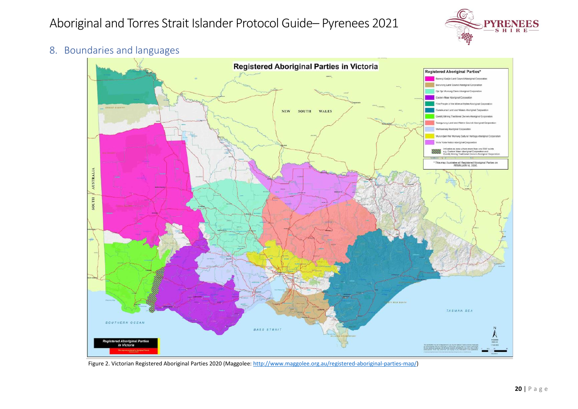

8. Boundaries and languages



Figure 2. Victorian Registered Aboriginal Parties 2020 (Maggolee[: http://www.maggolee.org.au/registered-aboriginal-parties-map/\)](http://www.maggolee.org.au/registered-aboriginal-parties-map/)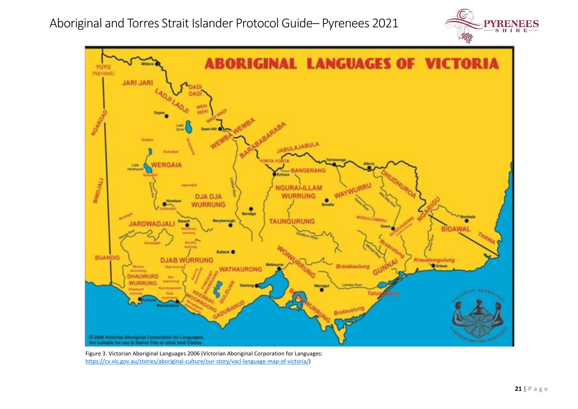



Figure 3. Victorian Aboriginal Languages 2006 (Victorian Aboriginal Corporation for Languages: [https://cv.vic.gov.au/stories/aboriginal-culture/our-story/vacl-language-map-of-victoria/\)](https://cv.vic.gov.au/stories/aboriginal-culture/our-story/vacl-language-map-of-victoria/)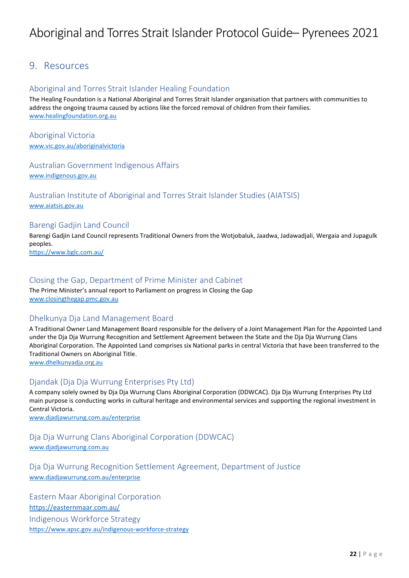### <span id="page-21-0"></span>9. Resources

#### Aboriginal and Torres Strait Islander Healing Foundation

The Healing Foundation is a National Aboriginal and Torres Strait Islander organisation that partners with communities to address the ongoing trauma caused by actions like the forced removal of children from their families. [www.healingfoundation.org.au](http://www.healingfoundation.org.au/)

Aboriginal Victoria [www.vic.gov.au/aboriginalvictoria](http://www.vic.gov.au/aboriginalvictoria)

Australian Government Indigenous Affairs [www.indigenous.gov.au](http://www.indigenous.gov.au/)

Australian Institute of Aboriginal and Torres Strait Islander Studies (AIATSIS) [www.aiatsis.gov.au](http://www.aiatsis.gov.au/)

#### Barengi Gadjin Land Council

Barengi Gadjin Land Council represents Traditional Owners from the Wotjobaluk, Jaadwa, Jadawadjali, Wergaia and Jupagulk peoples.

<https://www.bglc.com.au/>

#### Closing the Gap, Department of Prime Minister and Cabinet

The Prime Minister's annual report to Parliament on progress in Closing the Gap [www.closingthegap.pmc.gov.au](http://www.closingthegap.pmc.gov.au/)

#### Dhelkunya Dja Land Management Board

A Traditional Owner Land Management Board responsible for the delivery of a Joint Management Plan for the Appointed Land under the Dja Dja Wurrung Recognition and Settlement Agreement between the State and the Dja Dja Wurrung Clans Aboriginal Corporation. The Appointed Land comprises six National parks in central Victoria that have been transferred to the Traditional Owners on Aboriginal Title. [www.dhelkunyadja.org.au](http://www.dhelkunyadja.org.au/)

Djandak (Dja Dja Wurrung Enterprises Pty Ltd)

A company solely owned by Dja Dja Wurrung Clans Aboriginal Corporation (DDWCAC). Dja Dja Wurrung Enterprises Pty Ltd main purpose is conducting works in cultural heritage and environmental services and supporting the regional investment in Central Victoria.

[www.djadjawurrung.com.au/enterprise](http://www.djadjawurrung.com.au/enterprise)

Dja Dja Wurrung Clans Aboriginal Corporation (DDWCAC) [www.djadjawurrung.com.au](http://www.djadjawurrung.com.au/)

Dja Dja Wurrung Recognition Settlement Agreement, Department of Justice [www.djadjawurrung.com.au/enterprise](http://www.djadjawurrung.com.au/enterprise)

Eastern Maar Aboriginal Corporation <https://easternmaar.com.au/> Indigenous Workforce Strategy <https://www.apsc.gov.au/indigenous-workforce-strategy>